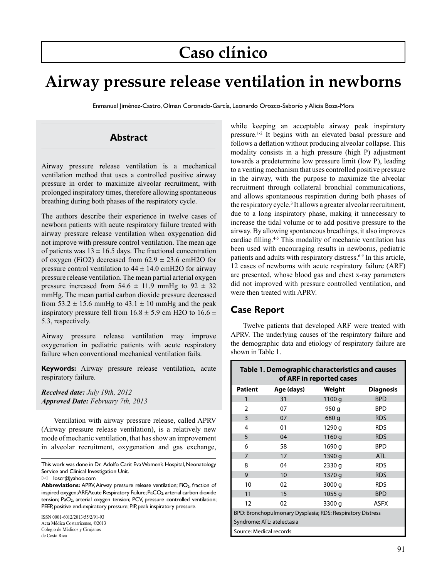# **Caso clínico**

## **Airway pressure release ventilation in newborns**

Enmanuel Jiménez-Castro, Olman Coronado-García, Leonardo Orozco-Saborío y Alicia Boza-Mora

### **Abstract**

 $\mathcal{L}_\text{max}$  and the contract of the contract of the contract of the contract of the contract of the contract of

Airway pressure release ventilation is a mechanical ventilation method that uses a controlled positive airway pressure in order to maximize alveolar recruitment, with prolonged inspiratory times, therefore allowing spontaneous breathing during both phases of the respiratory cycle.

The authors describe their experience in twelve cases of newborn patients with acute respiratory failure treated with airway pressure release ventilation when oxygenation did not improve with pressure control ventilation. The mean age of patients was  $13 \pm 16.5$  days. The fractional concentration of oxygen (FiO2) decreased from  $62.9 \pm 23.6$  cmH2O for pressure control ventilation to  $44 \pm 14.0$  cmH2O for airway pressure release ventilation. The mean partial arterial oxygen pressure increased from  $54.6 \pm 11.9$  mmHg to  $92 \pm 32$ mmHg. The mean partial carbon dioxide pressure decreased from  $53.2 \pm 15.6$  mmHg to  $43.1 \pm 10$  mmHg and the peak inspiratory pressure fell from  $16.8 \pm 5.9$  cm H2O to  $16.6 \pm$ 5.3, respectively.

Airway pressure release ventilation may improve oxygenation in pediatric patients with acute respiratory failure when conventional mechanical ventilation fails.

**Keywords:** Airway pressure release ventilation, acute respiratory failure.

*Received date: July 19th, 2012 Approved Date: February 7th, 2013*

Ventilation with airway pressure release, called APRV (Airway pressure release ventilation), is a relatively new mode of mechanic ventilation, that has show an improvement in alveolar recruitment, oxygenation and gas exchange,

ISSN 0001-6012/2013/55/2/91-93 Acta Médica Costarricense, ©2013 Colegio de Médicos y Cirujanos de Costa Rica

while keeping an acceptable airway peak inspiratory pressure.1-2 It begins with an elevated basal pressure and follows a deflation without producing alveolar collapse. This modality consists in a high pressure (high P) adjustment towards a predetermine low pressure limit (low P), leading to a venting mechanism that uses controlled positive pressure in the airway, with the purpose to maximize the alveolar recruitment through collateral bronchial communications, and allows spontaneous respiration during both phases of the respiratory cycle.<sup>3</sup> It allows a greater alveolar recruitment, due to a long inspiratory phase, making it unnecessary to increase the tidal volume or to add positive pressure to the airway. By allowing spontaneous breathings, it also improves cardiac filling.<sup>4-5</sup> This modality of mechanic ventilation has been used with encouraging results in newborns, pediatric patients and adults with respiratory distress.<sup>6-9</sup> In this article, 12 cases of newborns with acute respiratory failure (ARF) are presented, whose blood gas and chest x-ray parameters did not improved with pressure controlled ventilation, and were then treated with APRV.

### **Case Report**

Twelve patients that developed ARF were treated with APRV. The underlying causes of the respiratory failure and the demographic data and etiology of respiratory failure are shown in Table 1.

| Table 1. Demographic characteristics and causes<br>of ARF in reported cases |            |        |                  |  |  |
|-----------------------------------------------------------------------------|------------|--------|------------------|--|--|
| <b>Patient</b>                                                              | Age (days) | Weight | <b>Diagnosis</b> |  |  |
| 1                                                                           | 31         | 1100 g | <b>BPD</b>       |  |  |
| $\overline{2}$                                                              | 07         | 950 g  | <b>BPD</b>       |  |  |
| 3                                                                           | 07         | 680 g  | <b>RDS</b>       |  |  |
| 4                                                                           | 01         | 1290 g | <b>RDS</b>       |  |  |
| 5                                                                           | 04         | 1160 g | <b>RDS</b>       |  |  |
| 6                                                                           | 58         | 1690 g | <b>BPD</b>       |  |  |
| $\overline{7}$                                                              | 17         | 1390 g | <b>ATL</b>       |  |  |
| 8                                                                           | 04         | 2330 g | <b>RDS</b>       |  |  |
| 9                                                                           | 10         | 1370 g | <b>RDS</b>       |  |  |
| 10                                                                          | 02         | 3000 g | <b>RDS</b>       |  |  |
| 11                                                                          | 15         | 1055q  | <b>BPD</b>       |  |  |
| 12                                                                          | 02         | 3300 g | ASFX             |  |  |
| BPD: Bronchopulmonary Dysplasia; RDS: Respiratory Distress                  |            |        |                  |  |  |
| Syndrome; ATL: atelectasia                                                  |            |        |                  |  |  |
| Source: Medical records                                                     |            |        |                  |  |  |

This work was done in Dr. Adolfo Carit Eva Women's Hospital, Neonatology Service and Clinical Investigation Unit.

 $\boxtimes$  loscr@yahoo.com

**Abbreviations:** APRV, Airway pressure release ventilation; FiO<sub>2</sub>, fraction of inspired oxygen; ARF, Acute Respiratory Failure; PaCO<sub>2</sub>, arterial carbon dioxide tension; PaO<sub>2</sub>, arterial oxygen tension; PCV, pressure controlled ventilation; PEEP, positive end-expiratory pressure; PIP, peak inspiratory pressure.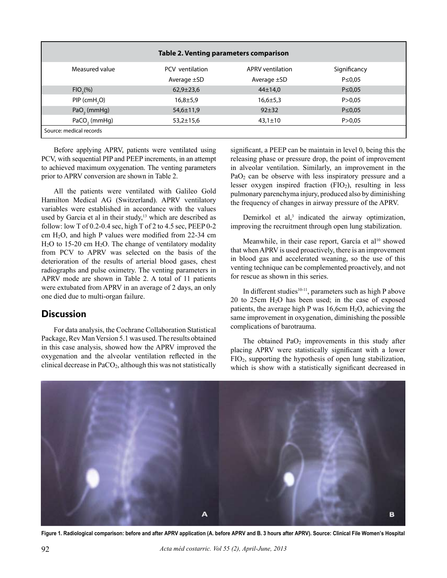| Table 2. Venting parameters comparison |                  |                         |              |  |  |
|----------------------------------------|------------------|-------------------------|--------------|--|--|
| Measured value                         | PCV ventilation  | <b>APRV</b> ventilation | Significancy |  |  |
|                                        | Average $\pm$ SD | Average $\pm$ SD        | $P \le 0.05$ |  |  |
| $FIO_{2}(\%)$                          | $62,9 \pm 23,6$  | $44\pm14.0$             | $P \le 0.05$ |  |  |
| $PIP$ (cmH <sub>2</sub> O)             | $16,8+5,9$       | $16,6 \pm 5,3$          | P > 0.05     |  |  |
| $PaO2$ (mmHg)                          | 54,6±11,9        | $92 + 32$               | $P \le 0,05$ |  |  |
| PaCO <sub>2</sub> (mmHg)               | $53,2 \pm 15,6$  | $43,1 \pm 10$           | P > 0.05     |  |  |
| Source: medical records                |                  |                         |              |  |  |

Before applying APRV, patients were ventilated using PCV, with sequential PIP and PEEP increments, in an attempt to achieved maximum oxygenation. The venting parameters prior to APRV conversion are shown in Table 2.

All the patients were ventilated with Galileo Gold Hamilton Medical AG (Switzerland). APRV ventilatory variables were established in accordance with the values used by Garcia et al in their study, $13$  which are described as follow: low T of  $0.2$ -0.4 sec, high T of 2 to  $4.5$  sec, PEEP  $0$ -2 cm H2O, and high P values were modified from 22-34 cm H2O to 15-20 cm H2O. The change of ventilatory modality from PCV to APRV was selected on the basis of the deterioration of the results of arterial blood gases, chest radiographs and pulse oximetry. The venting parameters in APRV mode are shown in Table 2. A total of 11 patients were extubated from APRV in an average of 2 days, an only one died due to multi-organ failure.

#### **Discussion**

For data analysis, the Cochrane Collaboration Statistical Package, Rev Man Version 5.1 was used. The results obtained in this case analysis, showed how the APRV improved the oxygenation and the alveolar ventilation reflected in the clinical decrease in  $PaCO<sub>2</sub>$ , although this was not statistically significant, a PEEP can be maintain in level 0, being this the releasing phase or pressure drop, the point of improvement in alveolar ventilation. Similarly, an improvement in the PaO<sub>2</sub> can be observe with less inspiratory pressure and a lesser oxygen inspired fraction  $(FIO<sub>2</sub>)$ , resulting in less pulmonary parenchyma injury, produced also by diminishing the frequency of changes in airway pressure of the APRV.

Demirkol et al,<sup>3</sup> indicated the airway optimization, improving the recruitment through open lung stabilization.

Meanwhile, in their case report, García et al<sup>10</sup> showed that when APRV is used proactively, there is an improvement in blood gas and accelerated weaning, so the use of this venting technique can be complemented proactively, and not for rescue as shown in this series.

In different studies<sup>10-11</sup>, parameters such as high P above 20 to 25cm  $H<sub>2</sub>O$  has been used; in the case of exposed patients, the average high P was  $16,6$ cm  $H<sub>2</sub>O$ , achieving the same improvement in oxygenation, diminishing the possible complications of barotrauma.

The obtained  $PaO<sub>2</sub>$  improvements in this study after placing APRV were statistically significant with a lower FIO2, supporting the hypothesis of open lung stabilization, which is show with a statistically significant decreased in



**Figure 1. Radiological comparison: before and after APRV application (A. before APRV and B. 3 hours after APRV). Source: Clinical File Women's Hospital**